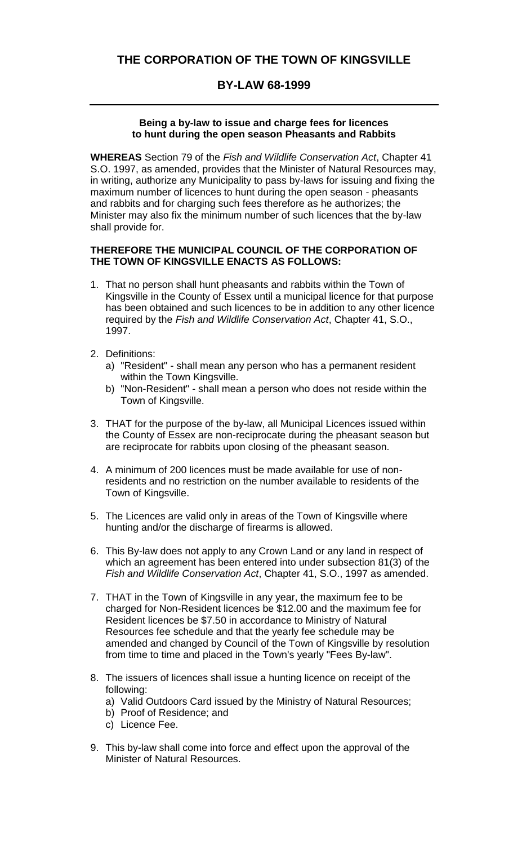## **BY-LAW 68-1999**

## **Being a by-law to issue and charge fees for licences to hunt during the open season Pheasants and Rabbits**

**WHEREAS** Section 79 of the *Fish and Wildlife Conservation Act*, Chapter 41 S.O. 1997, as amended, provides that the Minister of Natural Resources may, in writing, authorize any Municipality to pass by-laws for issuing and fixing the maximum number of licences to hunt during the open season - pheasants and rabbits and for charging such fees therefore as he authorizes; the Minister may also fix the minimum number of such licences that the by-law shall provide for.

## **THEREFORE THE MUNICIPAL COUNCIL OF THE CORPORATION OF THE TOWN OF KINGSVILLE ENACTS AS FOLLOWS:**

- 1. That no person shall hunt pheasants and rabbits within the Town of Kingsville in the County of Essex until a municipal licence for that purpose has been obtained and such licences to be in addition to any other licence required by the *Fish and Wildlife Conservation Act*, Chapter 41, S.O., 1997.
- 2. Definitions:
	- a) "Resident" shall mean any person who has a permanent resident within the Town Kingsville.
	- b) "Non-Resident" shall mean a person who does not reside within the Town of Kingsville.
- 3. THAT for the purpose of the by-law, all Municipal Licences issued within the County of Essex are non-reciprocate during the pheasant season but are reciprocate for rabbits upon closing of the pheasant season.
- 4. A minimum of 200 licences must be made available for use of nonresidents and no restriction on the number available to residents of the Town of Kingsville.
- 5. The Licences are valid only in areas of the Town of Kingsville where hunting and/or the discharge of firearms is allowed.
- 6. This By-law does not apply to any Crown Land or any land in respect of which an agreement has been entered into under subsection 81(3) of the *Fish and Wildlife Conservation Act*, Chapter 41, S.O., 1997 as amended.
- 7. THAT in the Town of Kingsville in any year, the maximum fee to be charged for Non-Resident licences be \$12.00 and the maximum fee for Resident licences be \$7.50 in accordance to Ministry of Natural Resources fee schedule and that the yearly fee schedule may be amended and changed by Council of the Town of Kingsville by resolution from time to time and placed in the Town's yearly "Fees By-law".
- 8. The issuers of licences shall issue a hunting licence on receipt of the following:
	- a) Valid Outdoors Card issued by the Ministry of Natural Resources;
	- b) Proof of Residence; and
	- c) Licence Fee.
- 9. This by-law shall come into force and effect upon the approval of the Minister of Natural Resources.